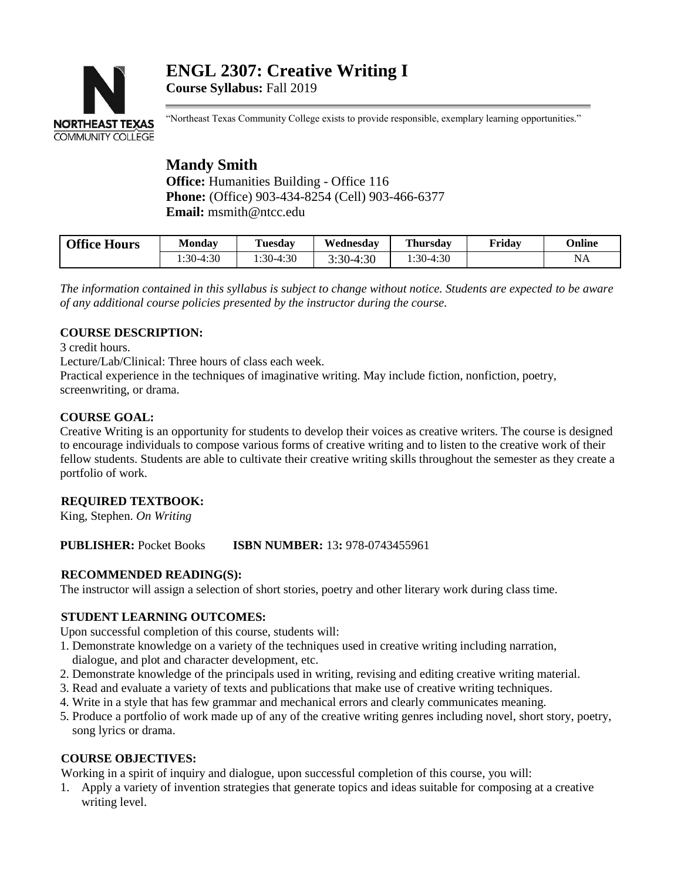# **ENGL 2307: Creative Writing I Course Syllabus:** Fall 2019



"Northeast Texas Community College exists to provide responsible, exemplary learning opportunities."

## **Mandy Smith Office:** Humanities Building - Office 116 **Phone:** (Office) 903-434-8254 (Cell) 903-466-6377 **Email:** msmith@ntcc.edu

| <b>Office Hours</b> | Mondav     | <b>Tuesday</b> | Wednesdav          | <b>Thursday</b> | Friday | <b>Online</b> |
|---------------------|------------|----------------|--------------------|-----------------|--------|---------------|
|                     | $:30-4:30$ | $:30-4:30$     | 4:30<br>$2.30 - 4$ | $:30-4:30$      |        | ΝA            |

*The information contained in this syllabus is subject to change without notice. Students are expected to be aware of any additional course policies presented by the instructor during the course.*

## **COURSE DESCRIPTION:**

3 credit hours.

Lecture/Lab/Clinical: Three hours of class each week.

Practical experience in the techniques of imaginative writing. May include fiction, nonfiction, poetry, screenwriting, or drama.

## **COURSE GOAL:**

Creative Writing is an opportunity for students to develop their voices as creative writers. The course is designed to encourage individuals to compose various forms of creative writing and to listen to the creative work of their fellow students. Students are able to cultivate their creative writing skills throughout the semester as they create a portfolio of work.

## **REQUIRED TEXTBOOK:**

King, Stephen. *On Writing*

## **PUBLISHER:** Pocket Books **ISBN NUMBER:** 13**:** 978-0743455961

#### **RECOMMENDED READING(S):**

The instructor will assign a selection of short stories, poetry and other literary work during class time.

#### **STUDENT LEARNING OUTCOMES:**

Upon successful completion of this course, students will:

- 1. Demonstrate knowledge on a variety of the techniques used in creative writing including narration, dialogue, and plot and character development, etc.
- 2. Demonstrate knowledge of the principals used in writing, revising and editing creative writing material.
- 3. Read and evaluate a variety of texts and publications that make use of creative writing techniques.
- 4. Write in a style that has few grammar and mechanical errors and clearly communicates meaning.
- 5. Produce a portfolio of work made up of any of the creative writing genres including novel, short story, poetry, song lyrics or drama.

#### **COURSE OBJECTIVES:**

Working in a spirit of inquiry and dialogue, upon successful completion of this course, you will:

1. Apply a variety of invention strategies that generate topics and ideas suitable for composing at a creative writing level.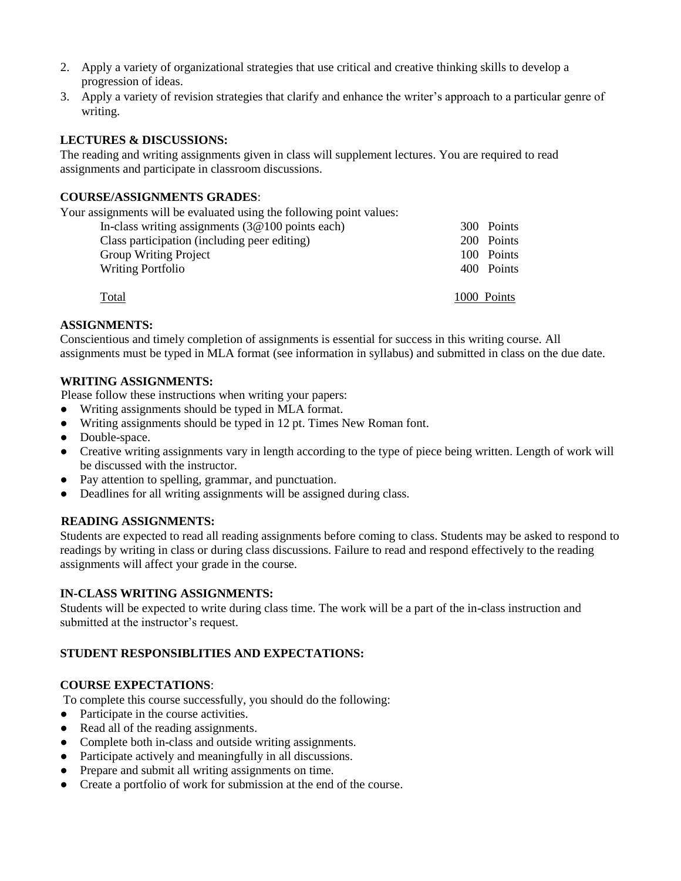- 2. Apply a variety of organizational strategies that use critical and creative thinking skills to develop a progression of ideas.
- 3. Apply a variety of revision strategies that clarify and enhance the writer's approach to a particular genre of writing.

### **LECTURES & DISCUSSIONS:**

The reading and writing assignments given in class will supplement lectures. You are required to read assignments and participate in classroom discussions.

#### **COURSE/ASSIGNMENTS GRADES**:

Your assignments will be evaluated using the following point values:

| In-class writing assignments $(3@100)$ points each) | 300 Points  |
|-----------------------------------------------------|-------------|
| Class participation (including peer editing)        | 200 Points  |
| <b>Group Writing Project</b>                        | 100 Points  |
| <b>Writing Portfolio</b>                            | 400 Points  |
| Total                                               | 1000 Points |

#### **ASSIGNMENTS:**

Conscientious and timely completion of assignments is essential for success in this writing course. All assignments must be typed in MLA format (see information in syllabus) and submitted in class on the due date.

#### **WRITING ASSIGNMENTS:**

Please follow these instructions when writing your papers:

- Writing assignments should be typed in MLA format.
- Writing assignments should be typed in 12 pt. Times New Roman font.
- Double-space.
- Creative writing assignments vary in length according to the type of piece being written. Length of work will be discussed with the instructor.
- Pay attention to spelling, grammar, and punctuation.
- Deadlines for all writing assignments will be assigned during class.

#### **READING ASSIGNMENTS:**

Students are expected to read all reading assignments before coming to class. Students may be asked to respond to readings by writing in class or during class discussions. Failure to read and respond effectively to the reading assignments will affect your grade in the course.

#### **IN-CLASS WRITING ASSIGNMENTS:**

Students will be expected to write during class time. The work will be a part of the in-class instruction and submitted at the instructor's request.

#### **STUDENT RESPONSIBLITIES AND EXPECTATIONS:**

#### **COURSE EXPECTATIONS**:

To complete this course successfully, you should do the following:

- Participate in the course activities.
- Read all of the reading assignments.
- Complete both in-class and outside writing assignments.
- Participate actively and meaningfully in all discussions.
- Prepare and submit all writing assignments on time.
- Create a portfolio of work for submission at the end of the course.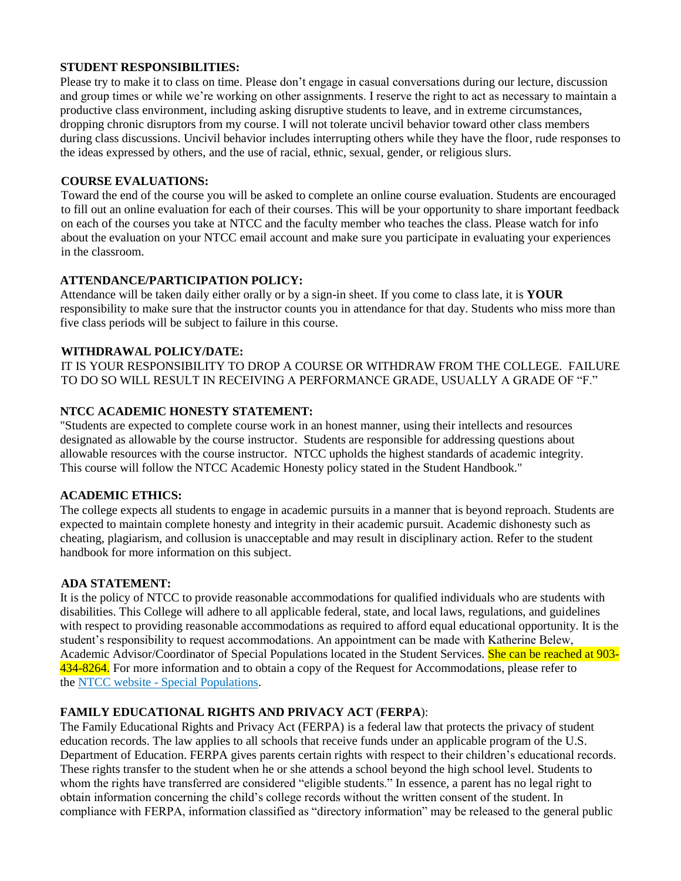### **STUDENT RESPONSIBILITIES:**

Please try to make it to class on time. Please don't engage in casual conversations during our lecture, discussion and group times or while we're working on other assignments. I reserve the right to act as necessary to maintain a productive class environment, including asking disruptive students to leave, and in extreme circumstances, dropping chronic disruptors from my course. I will not tolerate uncivil behavior toward other class members during class discussions. Uncivil behavior includes interrupting others while they have the floor, rude responses to the ideas expressed by others, and the use of racial, ethnic, sexual, gender, or religious slurs.

#### **COURSE EVALUATIONS:**

Toward the end of the course you will be asked to complete an online course evaluation. Students are encouraged to fill out an online evaluation for each of their courses. This will be your opportunity to share important feedback on each of the courses you take at NTCC and the faculty member who teaches the class. Please watch for info about the evaluation on your NTCC email account and make sure you participate in evaluating your experiences in the classroom.

#### **ATTENDANCE/PARTICIPATION POLICY:**

Attendance will be taken daily either orally or by a sign-in sheet. If you come to class late, it is **YOUR**  responsibility to make sure that the instructor counts you in attendance for that day. Students who miss more than five class periods will be subject to failure in this course.

#### **WITHDRAWAL POLICY/DATE:**

IT IS YOUR RESPONSIBILITY TO DROP A COURSE OR WITHDRAW FROM THE COLLEGE. FAILURE TO DO SO WILL RESULT IN RECEIVING A PERFORMANCE GRADE, USUALLY A GRADE OF "F."

#### **NTCC ACADEMIC HONESTY STATEMENT:**

"Students are expected to complete course work in an honest manner, using their intellects and resources designated as allowable by the course instructor. Students are responsible for addressing questions about allowable resources with the course instructor. NTCC upholds the highest standards of academic integrity. This course will follow the NTCC Academic Honesty policy stated in the Student Handbook."

## **ACADEMIC ETHICS:**

The college expects all students to engage in academic pursuits in a manner that is beyond reproach. Students are expected to maintain complete honesty and integrity in their academic pursuit. Academic dishonesty such as cheating, plagiarism, and collusion is unacceptable and may result in disciplinary action. Refer to the student handbook for more information on this subject.

## **ADA STATEMENT:**

It is the policy of NTCC to provide reasonable accommodations for qualified individuals who are students with disabilities. This College will adhere to all applicable federal, state, and local laws, regulations, and guidelines with respect to providing reasonable accommodations as required to afford equal educational opportunity. It is the student's responsibility to request accommodations. An appointment can be made with Katherine Belew, Academic Advisor/Coordinator of Special Populations located in the Student Services. She can be reached at 903-434-8264. For more information and to obtain a copy of the Request for Accommodations, please refer to the NTCC website - [Special Populations.](http://www.ntcc.edu/index.php?module=Pagesetter&func=viewpub&tid=111&pid=1)

## **FAMILY EDUCATIONAL RIGHTS AND PRIVACY ACT** (**FERPA**):

The Family Educational Rights and Privacy Act (FERPA) is a federal law that protects the privacy of student education records. The law applies to all schools that receive funds under an applicable program of the U.S. Department of Education. FERPA gives parents certain rights with respect to their children's educational records. These rights transfer to the student when he or she attends a school beyond the high school level. Students to whom the rights have transferred are considered "eligible students." In essence, a parent has no legal right to obtain information concerning the child's college records without the written consent of the student. In compliance with FERPA, information classified as "directory information" may be released to the general public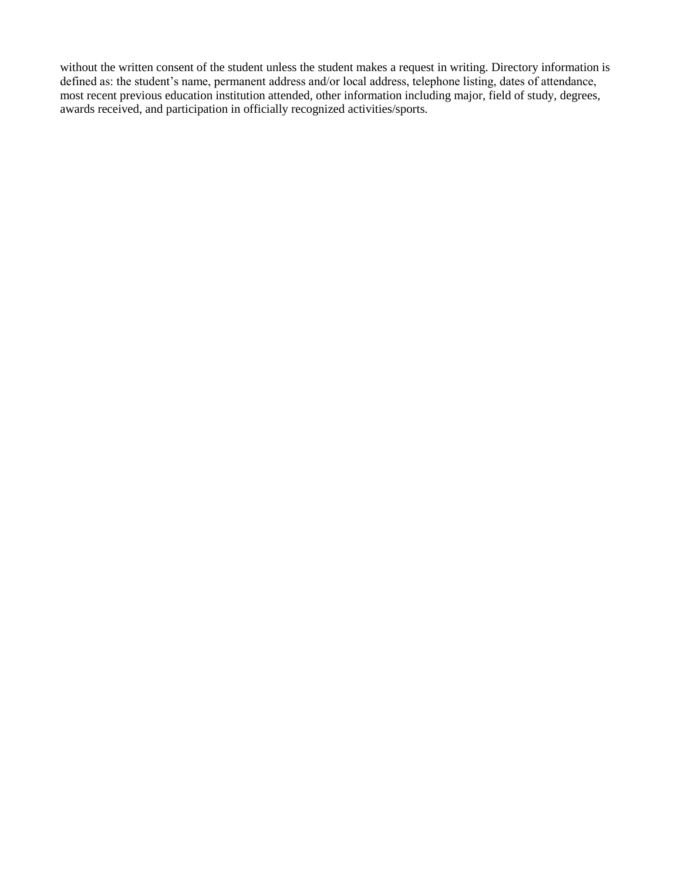without the written consent of the student unless the student makes a request in writing. Directory information is defined as: the student's name, permanent address and/or local address, telephone listing, dates of attendance, most recent previous education institution attended, other information including major, field of study, degrees, awards received, and participation in officially recognized activities/sports.